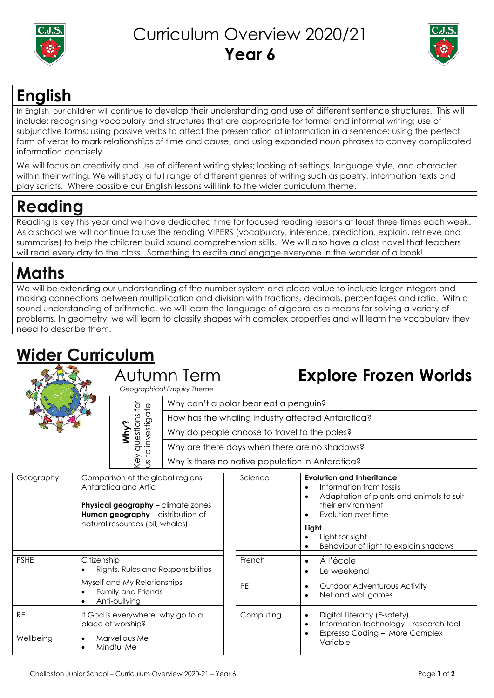

#### Curriculum Overview 2020/21 **Year 6**



### **English**

In English, our children will continue to develop their understanding and use of different sentence structures. This will include: recognising vocabulary and structures that are appropriate for formal and informal writing; use of subjunctive forms; using passive verbs to affect the presentation of information in a sentence; using the perfect form of verbs to mark relationships of time and cause; and using expanded noun phrases to convey complicated information concisely.

We will focus on creativity and use of different writing styles; looking at settings, language style, and character within their writing. We will study a full range of different genres of writing such as poetry, information texts and play scripts. Where possible our English lessons will link to the wider curriculum theme.

# **Reading**

Reading is key this year and we have dedicated time for focused reading lessons at least three times each week. As a school we will continue to use the reading VIPERS (vocabulary, inference, prediction, explain, retrieve and summarise) to help the children build sound comprehension skills. We will also have a class novel that teachers will read every day to the class. Something to excite and engage everyone in the wonder of a book!

### **Maths**

We will be extending our understanding of the number system and place value to include larger integers and making connections between multiplication and division with fractions, decimals, percentages and ratio. With a sound understanding of arithmetic, we will learn the language of algebra as a means for solving a variety of problems. In geometry, we will learn to classify shapes with complex properties and will learn the vocabulary they need to describe them.

## **Wider Curriculum**

#### Autumn Term

 *Geographical Enquiry Theme*

## **Explore Frozen Worlds**

| is for<br>jate | Why can't a polar bear eat a penguin?             |
|----------------|---------------------------------------------------|
| ටා             | How has the whaling industry affected Antarctica? |
|                | Why do people choose to travel to the poles?      |
|                | Why are there days when there are no shadows?     |
| ာ              | Why is there no native population in Antarctica?  |

| Geography   | Comparison of the global regions<br>Antarctica and Artic<br><b>Physical geography</b> - climate zones<br>Human geography - distribution of<br>natural resources (oil, whales) | Science   | <b>Evolution and Inheritance</b><br>Information from fossils<br>$\bullet$<br>Adaptation of plants and animals to suit<br>$\bullet$<br>their environment<br>Evolution over time<br>Light<br>Light for sight<br>Behaviour of light to explain shadows<br>$\bullet$ |  |
|-------------|-------------------------------------------------------------------------------------------------------------------------------------------------------------------------------|-----------|------------------------------------------------------------------------------------------------------------------------------------------------------------------------------------------------------------------------------------------------------------------|--|
| <b>PSHE</b> | Citizenship<br>Rights, Rules and Responsibilities<br>$\bullet$<br>Myself and My Relationships<br>Family and Friends<br>$\bullet$<br>Anti-bullying<br>$\bullet$                | French    | Á l'école<br>$\bullet$<br>Le weekend<br>$\bullet$                                                                                                                                                                                                                |  |
|             |                                                                                                                                                                               | <b>PE</b> | <b>Outdoor Adventurous Activity</b><br>$\bullet$<br>Net and wall games<br>$\bullet$                                                                                                                                                                              |  |
| <b>RE</b>   | If God is everywhere, why go to a<br>place of worship?                                                                                                                        | Computing | Digital Literacy (E-safety)<br>$\bullet$<br>Information technology - research tool<br>$\bullet$                                                                                                                                                                  |  |
| Wellbeing   | Marvellous Me<br>$\bullet$<br>Mindful Me<br>$\bullet$                                                                                                                         |           | Espresso Coding - More Complex<br>٠<br>Variable                                                                                                                                                                                                                  |  |